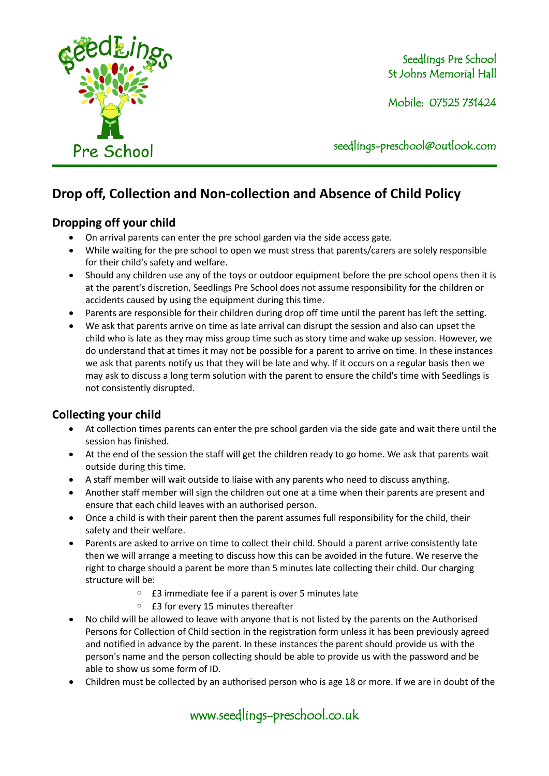

Seedlings Pre School St Johns Memorial Hall

Mobile: 07525 731424

seedlings[-preschool@outlook.com](mailto:preschool@outlook.com)

# **Drop off, Collection and Non-collection and Absence of Child Policy**

### **Dropping off your child**

- On arrival parents can enter the pre school garden via the side access gate.
- While waiting for the pre school to open we must stress that parents/carers are solely responsible for their child's safety and welfare.
- Should any children use any of the toys or outdoor equipment before the pre school opens then it is at the parent's discretion, Seedlings Pre School does not assume responsibility for the children or accidents caused by using the equipment during this time.
- Parents are responsible for their children during drop off time until the parent has left the setting.
- We ask that parents arrive on time as late arrival can disrupt the session and also can upset the child who is late as they may miss group time such as story time and wake up session. However, we do understand that at times it may not be possible for a parent to arrive on time. In these instances we ask that parents notify us that they will be late and why. If it occurs on a regular basis then we may ask to discuss a long term solution with the parent to ensure the child's time with Seedlings is not consistently disrupted.

## **Collecting your child**

- At collection times parents can enter the pre school garden via the side gate and wait there until the session has finished.
- At the end of the session the staff will get the children ready to go home. We ask that parents wait outside during this time.
- A staff member will wait outside to liaise with any parents who need to discuss anything.
- Another staff member will sign the children out one at a time when their parents are present and ensure that each child leaves with an authorised person.
- Once a child is with their parent then the parent assumes full responsibility for the child, their safety and their welfare.
- Parents are asked to arrive on time to collect their child. Should a parent arrive consistently late then we will arrange a meeting to discuss how this can be avoided in the future. We reserve the right to charge should a parent be more than 5 minutes late collecting their child. Our charging structure will be:
	- £3 immediate fee if a parent is over 5 minutes late
	- £3 for every 15 minutes thereafter
- No child will be allowed to leave with anyone that is not listed by the parents on the Authorised Persons for Collection of Child section in the registration form unless it has been previously agreed and notified in advance by the parent. In these instances the parent should provide us with the person's name and the person collecting should be able to provide us with the password and be able to show us some form of ID.
- Children must be collected by an authorised person who is age 18 or more. If we are in doubt of the

www.seedlings-preschool.co.uk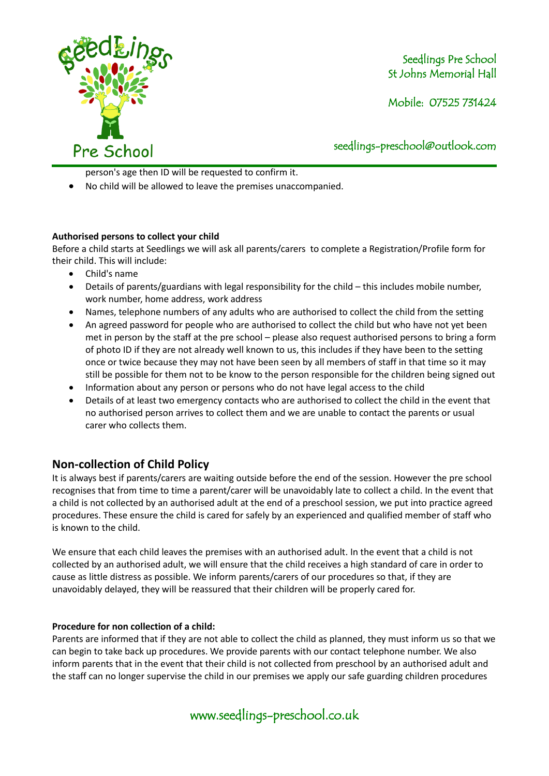

Seedlings Pre School St Johns Memorial Hall

Mobile: 07525 731424

seedlings[-preschool@outlook.com](mailto:preschool@outlook.com)

person's age then ID will be requested to confirm it.

• No child will be allowed to leave the premises unaccompanied.

#### **Authorised persons to collect your child**

Before a child starts at Seedlings we will ask all parents/carers to complete a Registration/Profile form for their child. This will include:

- Child's name
- Details of parents/guardians with legal responsibility for the child this includes mobile number, work number, home address, work address
- Names, telephone numbers of any adults who are authorised to collect the child from the setting
- An agreed password for people who are authorised to collect the child but who have not yet been met in person by the staff at the pre school – please also request authorised persons to bring a form of photo ID if they are not already well known to us, this includes if they have been to the setting once or twice because they may not have been seen by all members of staff in that time so it may still be possible for them not to be know to the person responsible for the children being signed out
- Information about any person or persons who do not have legal access to the child
- Details of at least two emergency contacts who are authorised to collect the child in the event that no authorised person arrives to collect them and we are unable to contact the parents or usual carer who collects them.

## **Non-collection of Child Policy**

It is always best if parents/carers are waiting outside before the end of the session. However the pre school recognises that from time to time a parent/carer will be unavoidably late to collect a child. In the event that a child is not collected by an authorised adult at the end of a preschool session, we put into practice agreed procedures. These ensure the child is cared for safely by an experienced and qualified member of staff who is known to the child.

We ensure that each child leaves the premises with an authorised adult. In the event that a child is not collected by an authorised adult, we will ensure that the child receives a high standard of care in order to cause as little distress as possible. We inform parents/carers of our procedures so that, if they are unavoidably delayed, they will be reassured that their children will be properly cared for.

#### **Procedure for non collection of a child:**

Parents are informed that if they are not able to collect the child as planned, they must inform us so that we can begin to take back up procedures. We provide parents with our contact telephone number. We also inform parents that in the event that their child is not collected from preschool by an authorised adult and the staff can no longer supervise the child in our premises we apply our safe guarding children procedures